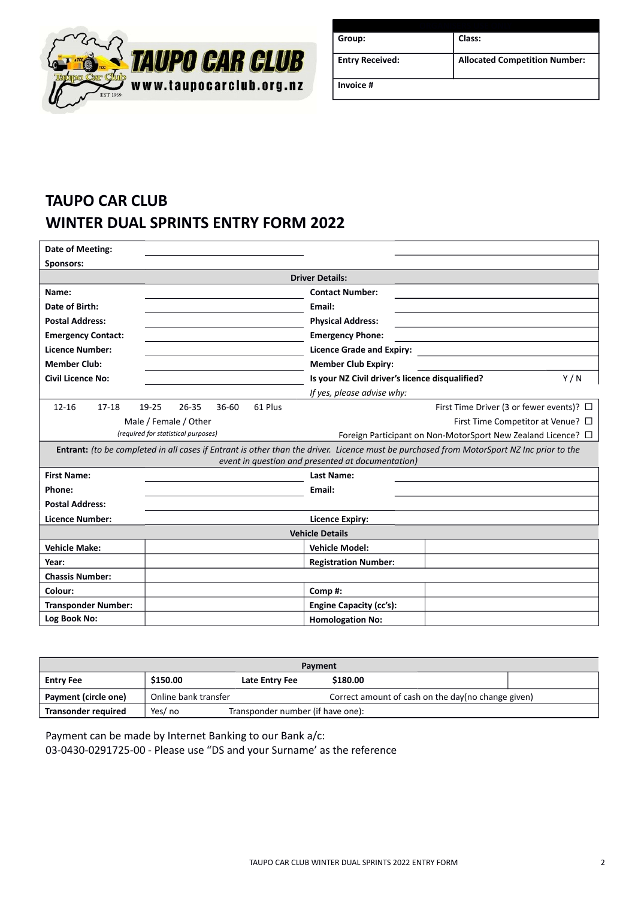

| Group:                 | Class:                               |  |
|------------------------|--------------------------------------|--|
| <b>Entry Received:</b> | <b>Allocated Competition Number:</b> |  |
| Invoice #              |                                      |  |

# **TAUPO CAR CLUB WINTER DUAL SPRINTS ENTRY FORM 2022**

| Date of Meeting:           |                                     |           |         |                                                   |                                                                                                                                           |
|----------------------------|-------------------------------------|-----------|---------|---------------------------------------------------|-------------------------------------------------------------------------------------------------------------------------------------------|
| Sponsors:                  |                                     |           |         |                                                   |                                                                                                                                           |
|                            |                                     |           |         | <b>Driver Details:</b>                            |                                                                                                                                           |
| Name:                      |                                     |           |         | <b>Contact Number:</b>                            |                                                                                                                                           |
| Date of Birth:             |                                     |           |         | Email:                                            |                                                                                                                                           |
| <b>Postal Address:</b>     |                                     |           |         | <b>Physical Address:</b>                          |                                                                                                                                           |
| <b>Emergency Contact:</b>  |                                     |           |         | <b>Emergency Phone:</b>                           |                                                                                                                                           |
| <b>Licence Number:</b>     |                                     |           |         | <b>Licence Grade and Expiry:</b>                  |                                                                                                                                           |
| <b>Member Club:</b>        |                                     |           |         | <b>Member Club Expiry:</b>                        |                                                                                                                                           |
| <b>Civil Licence No:</b>   |                                     |           |         | Is your NZ Civil driver's licence disqualified?   | Y/N                                                                                                                                       |
|                            |                                     |           |         | If yes, please advise why:                        |                                                                                                                                           |
| $12 - 16$<br>17-18         | $26 - 35$<br>19-25                  | $36 - 60$ | 61 Plus |                                                   | First Time Driver (3 or fewer events)? □                                                                                                  |
|                            | Male / Female / Other               |           |         |                                                   | First Time Competitor at Venue? $\square$                                                                                                 |
|                            | (required for statistical purposes) |           |         |                                                   | Foreign Participant on Non-MotorSport New Zealand Licence? $\Box$                                                                         |
|                            |                                     |           |         |                                                   | Entrant: (to be completed in all cases if Entrant is other than the driver. Licence must be purchased from MotorSport NZ Inc prior to the |
|                            |                                     |           |         | event in question and presented at documentation) |                                                                                                                                           |
| <b>First Name:</b>         |                                     |           |         | Last Name:                                        |                                                                                                                                           |
| Phone:                     |                                     |           |         | Email:                                            |                                                                                                                                           |
| <b>Postal Address:</b>     |                                     |           |         |                                                   |                                                                                                                                           |
| <b>Licence Number:</b>     |                                     |           |         | <b>Licence Expiry:</b>                            |                                                                                                                                           |
| <b>Vehicle Details</b>     |                                     |           |         |                                                   |                                                                                                                                           |
| <b>Vehicle Make:</b>       |                                     |           |         | <b>Vehicle Model:</b>                             |                                                                                                                                           |
| Year:                      |                                     |           |         | <b>Registration Number:</b>                       |                                                                                                                                           |
| <b>Chassis Number:</b>     |                                     |           |         |                                                   |                                                                                                                                           |
| Colour:                    |                                     |           |         | Comp#:                                            |                                                                                                                                           |
| <b>Transponder Number:</b> |                                     |           |         | <b>Engine Capacity (cc's):</b>                    |                                                                                                                                           |
| Log Book No:               |                                     |           |         | <b>Homologation No:</b>                           |                                                                                                                                           |

| Payment                    |                      |                                   |                                                    |  |
|----------------------------|----------------------|-----------------------------------|----------------------------------------------------|--|
| <b>Entry Fee</b>           | \$150.00             | Late Entry Fee                    | \$180.00                                           |  |
| Payment (circle one)       | Online bank transfer |                                   | Correct amount of cash on the day(no change given) |  |
| <b>Transonder required</b> | Yes/ no              | Transponder number (if have one): |                                                    |  |

Payment can be made by Internet Banking to our Bank a/c: 03-0430-0291725-00 - Please use "DS and your Surname' as the reference